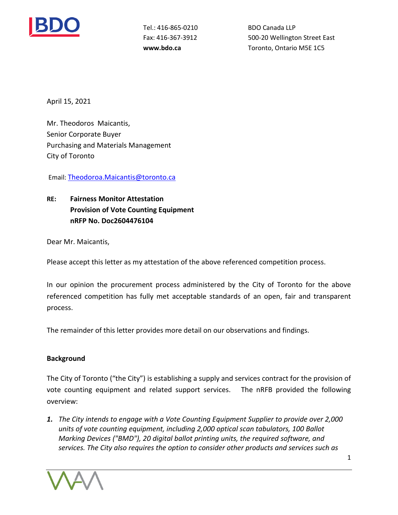

Tel.: 416-865-0210 Fax: 416-367-3912

BDO Canada LLP Fax: 416-367-3912 500-20 Wellington Street East **www.bdo.ca Toronto, Ontario M5E 1C5** 

April 15, 2021

 Mr. Theodoros Maicantis, Senior Corporate Buyer Purchasing and Materials Management<br>City of Toronto City of Toronto

Email: [Theodoroa.Maicantis@toronto.ca](mailto:Lindsay.Wiginton@toronto.ca) 

**RE: Provision of Vote Counting Equipment nRFP No. Doc2604476104 Fairness Monitor Attestation** 

Dear Mr. Maicantis,

Please accept this letter as my attestation of the above referenced competition process.

 In our opinion the procurement process administered by the City of Toronto for the above referenced competition has fully met acceptable standards of an open, fair and transparent process.

The remainder of this letter provides more detail on our observations and findings.

## **Background**

 The City of Toronto ("the City") is establishing a supply and services contract for the provision of vote counting equipment and related support services. The nRFB provided the following overview:

 *1. The City intends to engage with a Vote Counting Equipment Supplier to provide over 2,000 units of vote counting equipment, including 2,000 optical scan tabulators, 100 Ballot Marking Devices ("BMD"), 20 digital ballot printing units, the required software, and services. The City also requires the option to consider other products and services such as* 



1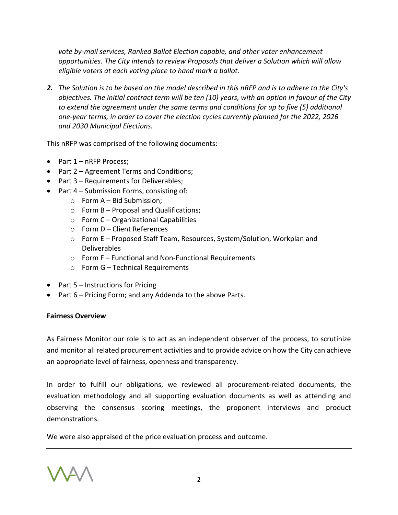*vote by-mail services, Ranked Ballot Election capable, and other voter enhancement opportunities. The City intends to review Proposals that deliver a Solution which will allow eligible voters at each voting place to hand mark a ballot.* 

 *2. The Solution is to be based on the model described in this nRFP and is to adhere to the City's objectives. The initial contract term will be ten (10) years, with an option in favour of the City to extend the agreement under the same terms and conditions for up to five (5) additional one-year terms, in order to cover the election cycles currently planned for the 2022, 2026 and 2030 Municipal Elections.* 

This nRFP was comprised of the following documents:

- Part 1 nRFP Process;
- Part 2 Agreement Terms and Conditions;
- Part 3 Requirements for Deliverables;
- Part 4 Submission Forms, consisting of:
	- $\circ$  Form A Bid Submission;
		- $\circ$  Form B Proposal and Qualifications;
		- $\circ$  Form C Organizational Capabilities
		- o Form D Client References
		- o Form E Proposed Staff Team, Resources, System/Solution, Workplan and Deliverables
		- o Form F Functional and Non-Functional Requirements
		- o Form G Technical Requirements
- Part 5 Instructions for Pricing
- Part 6 Pricing Form; and any Addenda to the above Parts.

## **Fairness Overview**

 As Fairness Monitor our role is to act as an independent observer of the process, to scrutinize and monitor all related procurement activities and to provide advice on how the City can achieve an appropriate level of fairness, openness and transparency.

an appropriate level of fairness, openness and transparency.<br>In order to fulfill our obligations, we reviewed all procurement-related documents, the observing the consensus scoring meetings, the proponent interviews and product demonstrations. evaluation methodology and all supporting evaluation documents as well as attending and

demonstrations.<br>We were also appraised of the price evaluation process and outcome.

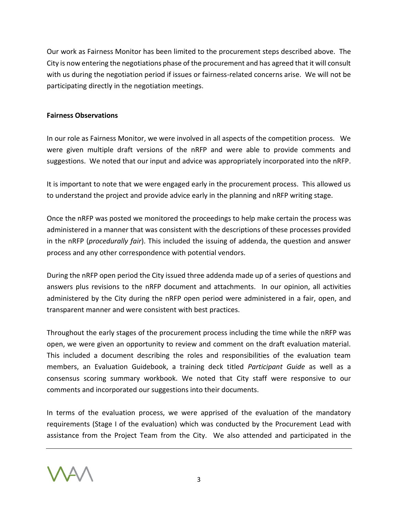Our work as Fairness Monitor has been limited to the procurement steps described above. The City is now entering the negotiations phase of the procurement and has agreed that it will consult with us during the negotiation period if issues or fairness-related concerns arise. We will not be participating directly in the negotiation meetings.

## **Fairness Observations**

 In our role as Fairness Monitor, we were involved in all aspects of the competition process. We were given multiple draft versions of the nRFP and were able to provide comments and suggestions. We noted that our input and advice was appropriately incorporated into the nRFP.

 It is important to note that we were engaged early in the procurement process. This allowed us to understand the project and provide advice early in the planning and nRFP writing stage.

 Once the nRFP was posted we monitored the proceedings to help make certain the process was administered in a manner that was consistent with the descriptions of these processes provided in the nRFP (*procedurally fair*). This included the issuing of addenda, the question and answer process and any other correspondence with potential vendors.

 During the nRFP open period the City issued three addenda made up of a series of questions and answers plus revisions to the nRFP document and attachments. In our opinion, all activities administered by the City during the nRFP open period were administered in a fair, open, and transparent manner and were consistent with best practices.

 Throughout the early stages of the procurement process including the time while the nRFP was open, we were given an opportunity to review and comment on the draft evaluation material. This included a document describing the roles and responsibilities of the evaluation team members, an Evaluation Guidebook, a training deck titled *Participant Guide* as well as a consensus scoring summary workbook. We noted that City staff were responsive to our comments and incorporated our suggestions into their documents.

 In terms of the evaluation process, we were apprised of the evaluation of the mandatory requirements (Stage I of the evaluation) which was conducted by the Procurement Lead with assistance from the Project Team from the City. We also attended and participated in the

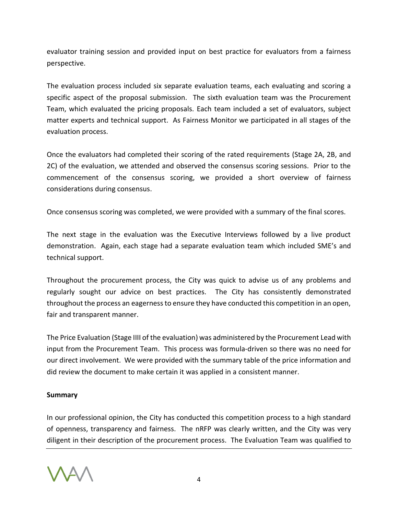evaluator training session and provided input on best practice for evaluators from a fairness perspective.

 The evaluation process included six separate evaluation teams, each evaluating and scoring a specific aspect of the proposal submission. The sixth evaluation team was the Procurement Team, which evaluated the pricing proposals. Each team included a set of evaluators, subject matter experts and technical support. As Fairness Monitor we participated in all stages of the evaluation process.

 Once the evaluators had completed their scoring of the rated requirements (Stage 2A, 2B, and 2C) of the evaluation, we attended and observed the consensus scoring sessions. Prior to the commencement of the consensus scoring, we provided a short overview of fairness considerations during consensus.

Once consensus scoring was completed, we were provided with a summary of the final scores.

 The next stage in the evaluation was the Executive Interviews followed by a live product demonstration. Again, each stage had a separate evaluation team which included SME's and technical support.

 Throughout the procurement process, the City was quick to advise us of any problems and regularly sought our advice on best practices. The City has consistently demonstrated throughout the process an eagerness to ensure they have conducted this competition in an open, fair and transparent manner.

 The Price Evaluation (Stage IIII of the evaluation) was administered by the Procurement Lead with input from the Procurement Team. This process was formula-driven so there was no need for our direct involvement. We were provided with the summary table of the price information and did review the document to make certain it was applied in a consistent manner.

## **Summary**

 In our professional opinion, the City has conducted this competition process to a high standard of openness, transparency and fairness. The nRFP was clearly written, and the City was very diligent in their description of the procurement process. The Evaluation Team was qualified to